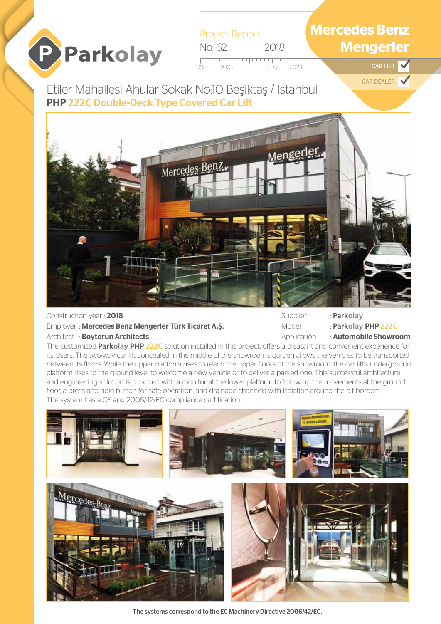# P Parkolay

Project Report No: 62 2018 1998 2023 2005 2017 CAR LIFT

## **Mercedes Benz Mengerler**

 $\blacktriangledown$ 

CAR DEALER

Etiler Mahallesi Ahular Sokak No:10 Beşiktaş / İstanbul PHP **222C** Double-Deck Type Covered Car Lift



### Construction year : 2018 Employer : Mercedes Benz Mengerler Türk Ticaret A.Ş. Architect : Boytorun Architects

Supplier : **Parkolay**

Model : **Parkolay** PHP **222C**

Application : **Automobile Showroom** 

The customized **Parkolay PHP 222C** solution installed in this project, offers a pleasant and convenient experience for its Users. The two-way car lift concealed in the middle of the showroom's garden allows the vehicles to be transported between its floors. While the upper platform rises to reach the upper floors of the showroom, the car lift's underground platform rises to the ground level to welcome a new vehicle or to deliver a parked one. This successful architecture and engineering solution is provided with a monitor at the lower platform to follow-up the movements at the ground floor, a press and hold button for safe operation, and drainage channels with isolation around the pit borders. The system has a CE and 2006/42/EC compliance certification.



The systems correspond to the EC Machinery Directive 2006/42/EC.